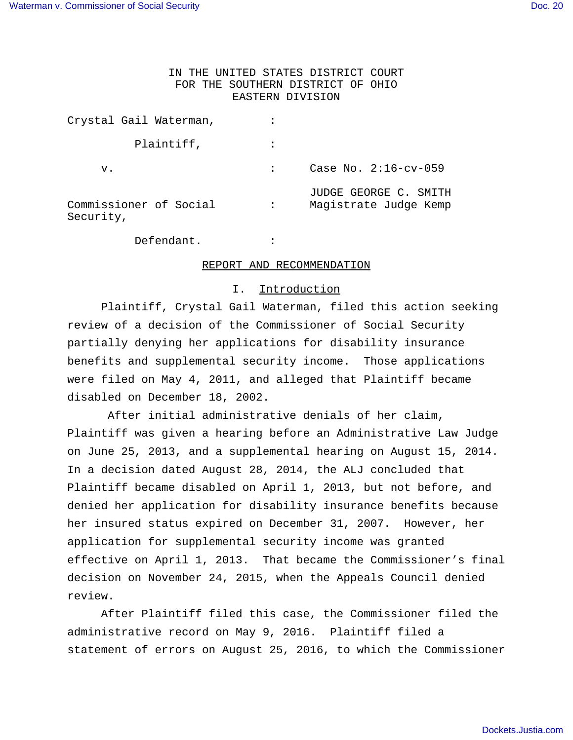# IN THE UNITED STATES DISTRICT COURT FOR THE SOUTHERN DISTRICT OF OHIO EASTERN DIVISION

| Crystal Gail Waterman,              |   |                                                |
|-------------------------------------|---|------------------------------------------------|
| Plaintiff,                          |   |                                                |
| v.                                  |   | Case No. $2:16$ -cv-059                        |
| Commissioner of Social<br>Security, | ፡ | JUDGE GEORGE C. SMITH<br>Magistrate Judge Kemp |

Defendant. :

# REPORT AND RECOMMENDATION

#### I. Introduction

 Plaintiff, Crystal Gail Waterman, filed this action seeking review of a decision of the Commissioner of Social Security partially denying her applications for disability insurance benefits and supplemental security income. Those applications were filed on May 4, 2011, and alleged that Plaintiff became disabled on December 18, 2002.

 After initial administrative denials of her claim, Plaintiff was given a hearing before an Administrative Law Judge on June 25, 2013, and a supplemental hearing on August 15, 2014. In a decision dated August 28, 2014, the ALJ concluded that Plaintiff became disabled on April 1, 2013, but not before, and denied her application for disability insurance benefits because her insured status expired on December 31, 2007. However, her application for supplemental security income was granted effective on April 1, 2013. That became the Commissioner's final decision on November 24, 2015, when the Appeals Council denied review.

After Plaintiff filed this case, the Commissioner filed the administrative record on May 9, 2016. Plaintiff filed a statement of errors on August 25, 2016, to which the Commissioner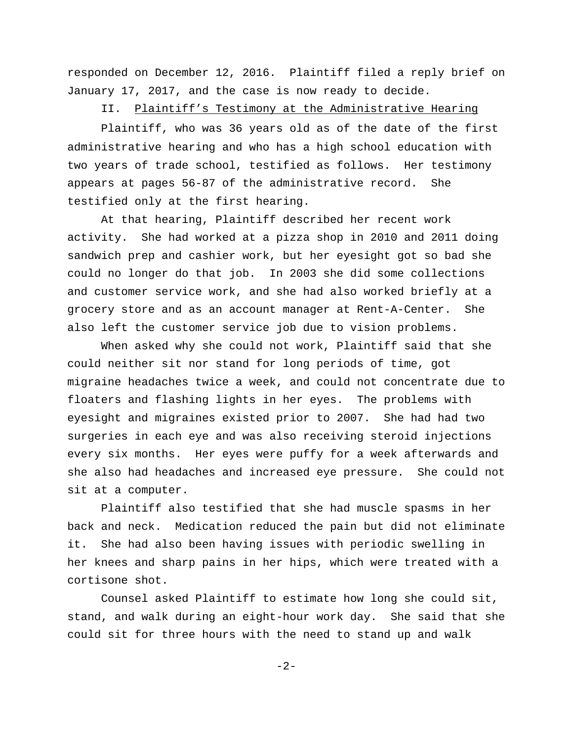responded on December 12, 2016. Plaintiff filed a reply brief on January 17, 2017, and the case is now ready to decide.

II. Plaintiff's Testimony at the Administrative Hearing

 Plaintiff, who was 36 years old as of the date of the first administrative hearing and who has a high school education with two years of trade school, testified as follows. Her testimony appears at pages 56-87 of the administrative record. She testified only at the first hearing.

At that hearing, Plaintiff described her recent work activity. She had worked at a pizza shop in 2010 and 2011 doing sandwich prep and cashier work, but her eyesight got so bad she could no longer do that job. In 2003 she did some collections and customer service work, and she had also worked briefly at a grocery store and as an account manager at Rent-A-Center. She also left the customer service job due to vision problems.

When asked why she could not work, Plaintiff said that she could neither sit nor stand for long periods of time, got migraine headaches twice a week, and could not concentrate due to floaters and flashing lights in her eyes. The problems with eyesight and migraines existed prior to 2007. She had had two surgeries in each eye and was also receiving steroid injections every six months. Her eyes were puffy for a week afterwards and she also had headaches and increased eye pressure. She could not sit at a computer.

Plaintiff also testified that she had muscle spasms in her back and neck. Medication reduced the pain but did not eliminate it. She had also been having issues with periodic swelling in her knees and sharp pains in her hips, which were treated with a cortisone shot.

Counsel asked Plaintiff to estimate how long she could sit, stand, and walk during an eight-hour work day. She said that she could sit for three hours with the need to stand up and walk

-2-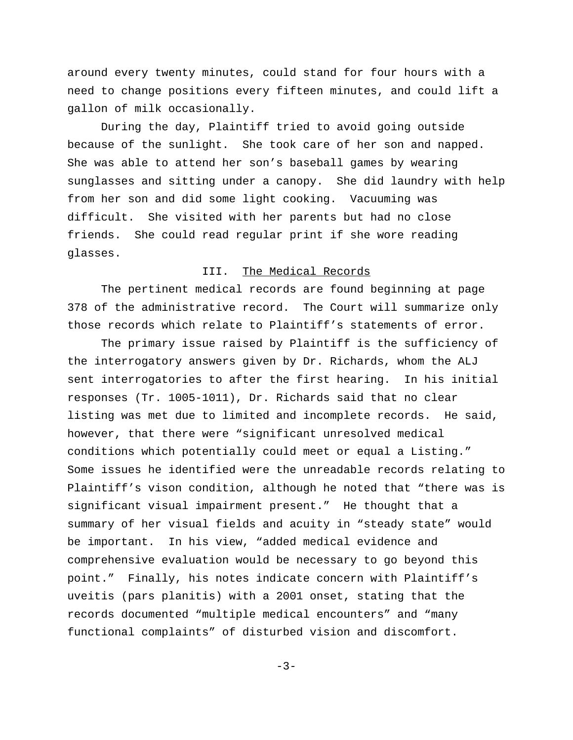around every twenty minutes, could stand for four hours with a need to change positions every fifteen minutes, and could lift a gallon of milk occasionally.

During the day, Plaintiff tried to avoid going outside because of the sunlight. She took care of her son and napped. She was able to attend her son's baseball games by wearing sunglasses and sitting under a canopy. She did laundry with help from her son and did some light cooking. Vacuuming was difficult. She visited with her parents but had no close friends. She could read regular print if she wore reading glasses.

#### III. The Medical Records

The pertinent medical records are found beginning at page 378 of the administrative record. The Court will summarize only those records which relate to Plaintiff's statements of error.

The primary issue raised by Plaintiff is the sufficiency of the interrogatory answers given by Dr. Richards, whom the ALJ sent interrogatories to after the first hearing. In his initial responses (Tr. 1005-1011), Dr. Richards said that no clear listing was met due to limited and incomplete records. He said, however, that there were "significant unresolved medical conditions which potentially could meet or equal a Listing." Some issues he identified were the unreadable records relating to Plaintiff's vison condition, although he noted that "there was is significant visual impairment present." He thought that a summary of her visual fields and acuity in "steady state" would be important. In his view, "added medical evidence and comprehensive evaluation would be necessary to go beyond this point." Finally, his notes indicate concern with Plaintiff's uveitis (pars planitis) with a 2001 onset, stating that the records documented "multiple medical encounters" and "many functional complaints" of disturbed vision and discomfort.

 $-3-$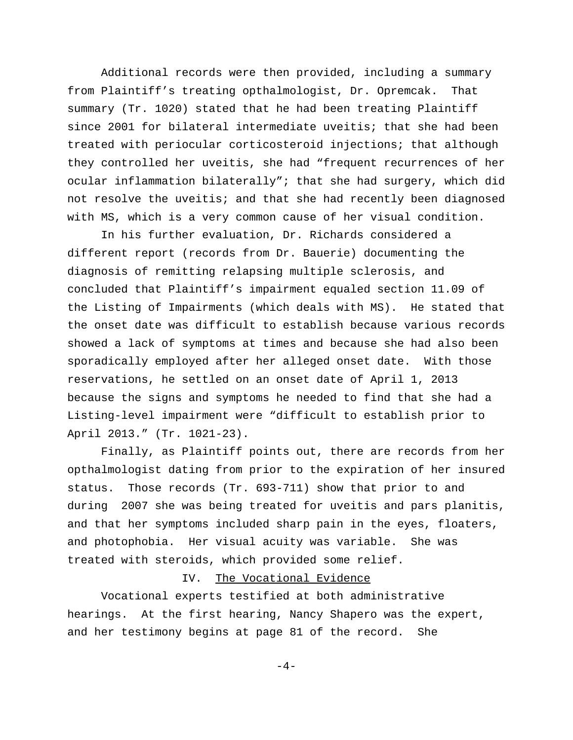Additional records were then provided, including a summary from Plaintiff's treating opthalmologist, Dr. Opremcak. That summary (Tr. 1020) stated that he had been treating Plaintiff since 2001 for bilateral intermediate uveitis; that she had been treated with periocular corticosteroid injections; that although they controlled her uveitis, she had "frequent recurrences of her ocular inflammation bilaterally"; that she had surgery, which did not resolve the uveitis; and that she had recently been diagnosed with MS, which is a very common cause of her visual condition.

In his further evaluation, Dr. Richards considered a different report (records from Dr. Bauerie) documenting the diagnosis of remitting relapsing multiple sclerosis, and concluded that Plaintiff's impairment equaled section 11.09 of the Listing of Impairments (which deals with MS). He stated that the onset date was difficult to establish because various records showed a lack of symptoms at times and because she had also been sporadically employed after her alleged onset date. With those reservations, he settled on an onset date of April 1, 2013 because the signs and symptoms he needed to find that she had a Listing-level impairment were "difficult to establish prior to April 2013." (Tr. 1021-23).

Finally, as Plaintiff points out, there are records from her opthalmologist dating from prior to the expiration of her insured status. Those records (Tr. 693-711) show that prior to and during 2007 she was being treated for uveitis and pars planitis, and that her symptoms included sharp pain in the eyes, floaters, and photophobia. Her visual acuity was variable. She was treated with steroids, which provided some relief.

### IV. The Vocational Evidence

Vocational experts testified at both administrative hearings. At the first hearing, Nancy Shapero was the expert, and her testimony begins at page 81 of the record. She

 $-4-$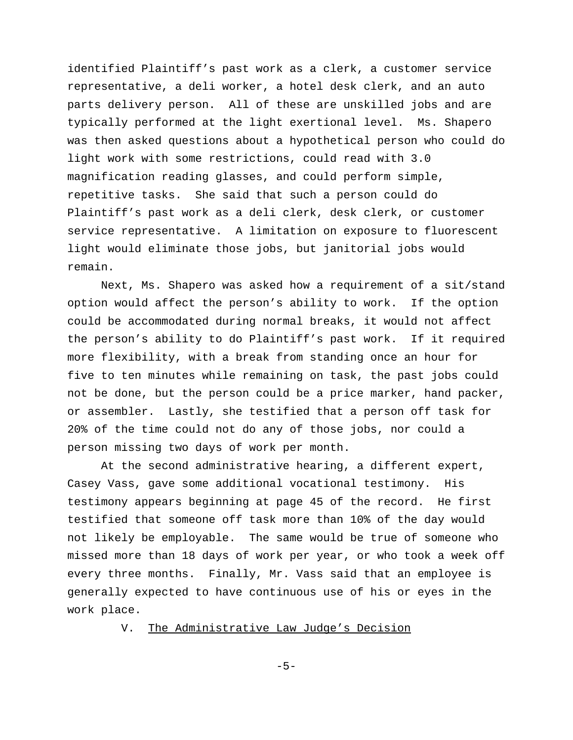identified Plaintiff's past work as a clerk, a customer service representative, a deli worker, a hotel desk clerk, and an auto parts delivery person. All of these are unskilled jobs and are typically performed at the light exertional level. Ms. Shapero was then asked questions about a hypothetical person who could do light work with some restrictions, could read with 3.0 magnification reading glasses, and could perform simple, repetitive tasks. She said that such a person could do Plaintiff's past work as a deli clerk, desk clerk, or customer service representative. A limitation on exposure to fluorescent light would eliminate those jobs, but janitorial jobs would remain.

Next, Ms. Shapero was asked how a requirement of a sit/stand option would affect the person's ability to work. If the option could be accommodated during normal breaks, it would not affect the person's ability to do Plaintiff's past work. If it required more flexibility, with a break from standing once an hour for five to ten minutes while remaining on task, the past jobs could not be done, but the person could be a price marker, hand packer, or assembler. Lastly, she testified that a person off task for 20% of the time could not do any of those jobs, nor could a person missing two days of work per month.

At the second administrative hearing, a different expert, Casey Vass, gave some additional vocational testimony. His testimony appears beginning at page 45 of the record. He first testified that someone off task more than 10% of the day would not likely be employable. The same would be true of someone who missed more than 18 days of work per year, or who took a week off every three months. Finally, Mr. Vass said that an employee is generally expected to have continuous use of his or eyes in the work place.

V. The Administrative Law Judge's Decision

-5-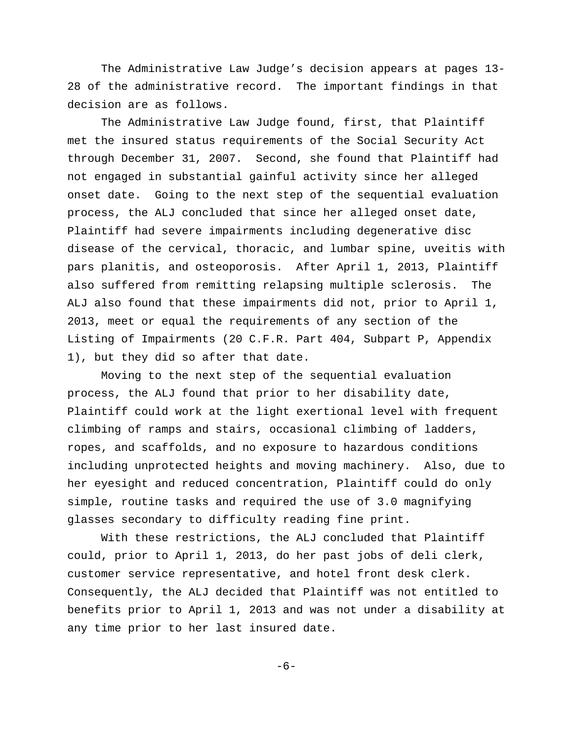The Administrative Law Judge's decision appears at pages 13- 28 of the administrative record. The important findings in that decision are as follows.

The Administrative Law Judge found, first, that Plaintiff met the insured status requirements of the Social Security Act through December 31, 2007. Second, she found that Plaintiff had not engaged in substantial gainful activity since her alleged onset date. Going to the next step of the sequential evaluation process, the ALJ concluded that since her alleged onset date, Plaintiff had severe impairments including degenerative disc disease of the cervical, thoracic, and lumbar spine, uveitis with pars planitis, and osteoporosis. After April 1, 2013, Plaintiff also suffered from remitting relapsing multiple sclerosis. The ALJ also found that these impairments did not, prior to April 1, 2013, meet or equal the requirements of any section of the Listing of Impairments (20 C.F.R. Part 404, Subpart P, Appendix 1), but they did so after that date.

Moving to the next step of the sequential evaluation process, the ALJ found that prior to her disability date, Plaintiff could work at the light exertional level with frequent climbing of ramps and stairs, occasional climbing of ladders, ropes, and scaffolds, and no exposure to hazardous conditions including unprotected heights and moving machinery. Also, due to her eyesight and reduced concentration, Plaintiff could do only simple, routine tasks and required the use of 3.0 magnifying glasses secondary to difficulty reading fine print.

With these restrictions, the ALJ concluded that Plaintiff could, prior to April 1, 2013, do her past jobs of deli clerk, customer service representative, and hotel front desk clerk. Consequently, the ALJ decided that Plaintiff was not entitled to benefits prior to April 1, 2013 and was not under a disability at any time prior to her last insured date.

-6-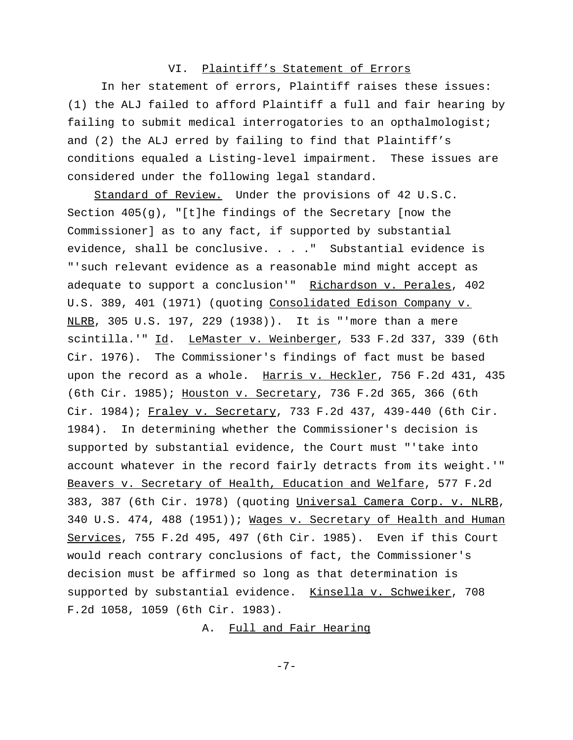# VI. Plaintiff's Statement of Errors

In her statement of errors, Plaintiff raises these issues: (1) the ALJ failed to afford Plaintiff a full and fair hearing by failing to submit medical interrogatories to an opthalmologist; and (2) the ALJ erred by failing to find that Plaintiff's conditions equaled a Listing-level impairment. These issues are considered under the following legal standard.

 Standard of Review. Under the provisions of 42 U.S.C. Section 405(g), "[t]he findings of the Secretary [now the Commissioner] as to any fact, if supported by substantial evidence, shall be conclusive. . . ." Substantial evidence is "'such relevant evidence as a reasonable mind might accept as adequate to support a conclusion'" Richardson v. Perales, 402 U.S. 389, 401 (1971) (quoting Consolidated Edison Company v. NLRB, 305 U.S. 197, 229 (1938)). It is "'more than a mere scintilla.'" Id. LeMaster v. Weinberger, 533 F.2d 337, 339 (6th Cir. 1976). The Commissioner's findings of fact must be based upon the record as a whole. Harris v. Heckler, 756 F.2d 431, 435 (6th Cir. 1985); Houston v. Secretary, 736 F.2d 365, 366 (6th Cir. 1984); Fraley v. Secretary, 733 F.2d 437, 439-440 (6th Cir. 1984). In determining whether the Commissioner's decision is supported by substantial evidence, the Court must "'take into account whatever in the record fairly detracts from its weight.'" Beavers v. Secretary of Health, Education and Welfare, 577 F.2d 383, 387 (6th Cir. 1978) (quoting Universal Camera Corp. v. NLRB, 340 U.S. 474, 488 (1951)); Wages v. Secretary of Health and Human Services, 755 F.2d 495, 497 (6th Cir. 1985). Even if this Court would reach contrary conclusions of fact, the Commissioner's decision must be affirmed so long as that determination is supported by substantial evidence. Kinsella v. Schweiker, 708 F.2d 1058, 1059 (6th Cir. 1983).

A. Full and Fair Hearing

-7-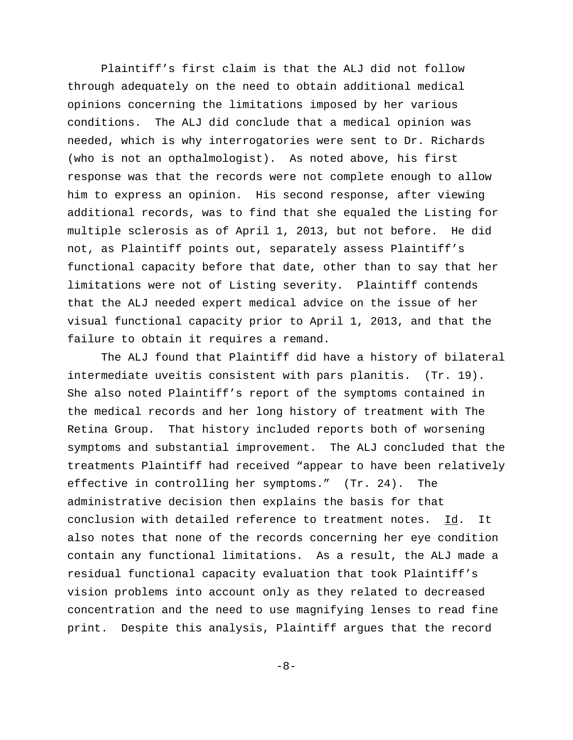Plaintiff's first claim is that the ALJ did not follow through adequately on the need to obtain additional medical opinions concerning the limitations imposed by her various conditions. The ALJ did conclude that a medical opinion was needed, which is why interrogatories were sent to Dr. Richards (who is not an opthalmologist). As noted above, his first response was that the records were not complete enough to allow him to express an opinion. His second response, after viewing additional records, was to find that she equaled the Listing for multiple sclerosis as of April 1, 2013, but not before. He did not, as Plaintiff points out, separately assess Plaintiff's functional capacity before that date, other than to say that her limitations were not of Listing severity. Plaintiff contends that the ALJ needed expert medical advice on the issue of her visual functional capacity prior to April 1, 2013, and that the failure to obtain it requires a remand.

The ALJ found that Plaintiff did have a history of bilateral intermediate uveitis consistent with pars planitis. (Tr. 19). She also noted Plaintiff's report of the symptoms contained in the medical records and her long history of treatment with The Retina Group. That history included reports both of worsening symptoms and substantial improvement. The ALJ concluded that the treatments Plaintiff had received "appear to have been relatively effective in controlling her symptoms." (Tr. 24). The administrative decision then explains the basis for that conclusion with detailed reference to treatment notes. Id. It also notes that none of the records concerning her eye condition contain any functional limitations. As a result, the ALJ made a residual functional capacity evaluation that took Plaintiff's vision problems into account only as they related to decreased concentration and the need to use magnifying lenses to read fine print. Despite this analysis, Plaintiff argues that the record

-8-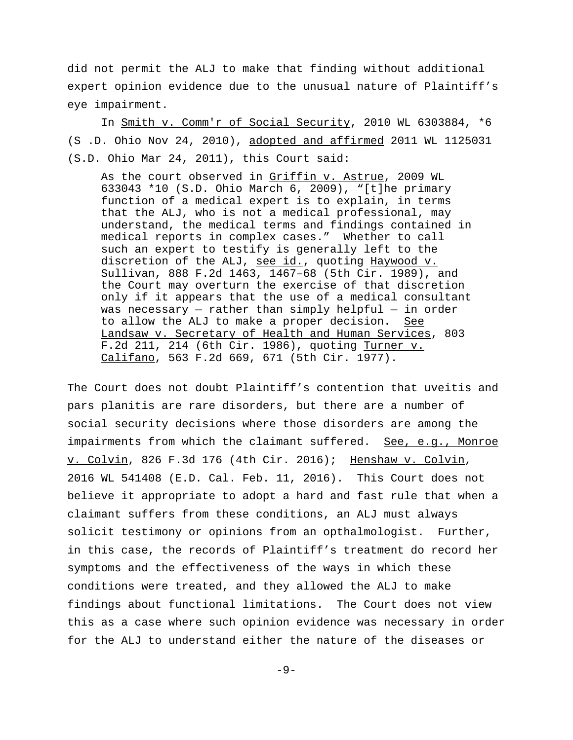did not permit the ALJ to make that finding without additional expert opinion evidence due to the unusual nature of Plaintiff's eye impairment.

In Smith v. Comm'r of Social Security, 2010 WL 6303884, \*6 (S .D. Ohio Nov 24, 2010), adopted and affirmed 2011 WL 1125031 (S.D. Ohio Mar 24, 2011), this Court said:

As the court observed in Griffin v. Astrue, 2009 WL 633043 \*10 (S.D. Ohio March 6, 2009), "[t]he primary function of a medical expert is to explain, in terms that the ALJ, who is not a medical professional, may understand, the medical terms and findings contained in medical reports in complex cases." Whether to call such an expert to testify is generally left to the discretion of the ALJ, see id., quoting Haywood v. Sullivan, 888 F.2d 1463, 1467–68 (5th Cir. 1989), and the Court may overturn the exercise of that discretion only if it appears that the use of a medical consultant was necessary  $-$  rather than simply helpful  $-$  in order to allow the ALJ to make a proper decision. See Landsaw v. Secretary of Health and Human Services, 803 F.2d 211, 214 (6th Cir. 1986), quoting Turner v. Califano, 563 F.2d 669, 671 (5th Cir. 1977).

The Court does not doubt Plaintiff's contention that uveitis and pars planitis are rare disorders, but there are a number of social security decisions where those disorders are among the impairments from which the claimant suffered. See, e.g., Monroe v. Colvin, 826 F.3d 176 (4th Cir. 2016); Henshaw v. Colvin, 2016 WL 541408 (E.D. Cal. Feb. 11, 2016). This Court does not believe it appropriate to adopt a hard and fast rule that when a claimant suffers from these conditions, an ALJ must always solicit testimony or opinions from an opthalmologist. Further, in this case, the records of Plaintiff's treatment do record her symptoms and the effectiveness of the ways in which these conditions were treated, and they allowed the ALJ to make findings about functional limitations. The Court does not view this as a case where such opinion evidence was necessary in order for the ALJ to understand either the nature of the diseases or

-9-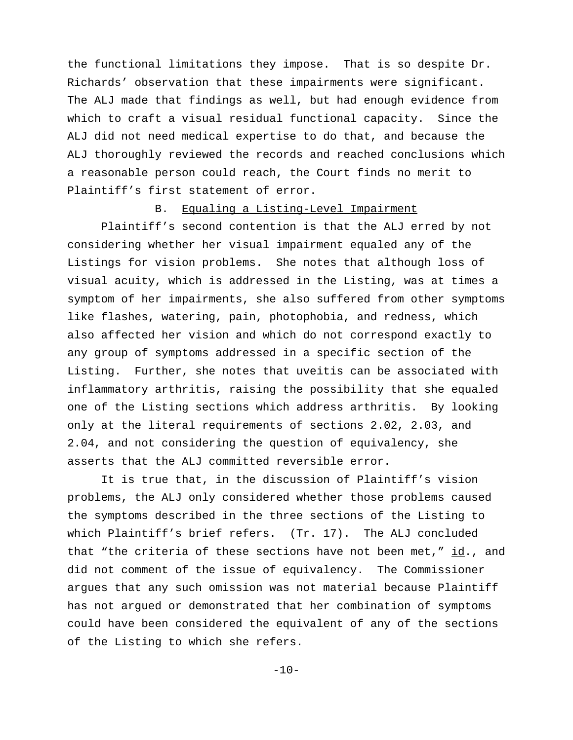the functional limitations they impose. That is so despite Dr. Richards' observation that these impairments were significant. The ALJ made that findings as well, but had enough evidence from which to craft a visual residual functional capacity. Since the ALJ did not need medical expertise to do that, and because the ALJ thoroughly reviewed the records and reached conclusions which a reasonable person could reach, the Court finds no merit to Plaintiff's first statement of error.

# B. Equaling a Listing-Level Impairment

Plaintiff's second contention is that the ALJ erred by not considering whether her visual impairment equaled any of the Listings for vision problems. She notes that although loss of visual acuity, which is addressed in the Listing, was at times a symptom of her impairments, she also suffered from other symptoms like flashes, watering, pain, photophobia, and redness, which also affected her vision and which do not correspond exactly to any group of symptoms addressed in a specific section of the Listing. Further, she notes that uveitis can be associated with inflammatory arthritis, raising the possibility that she equaled one of the Listing sections which address arthritis. By looking only at the literal requirements of sections 2.02, 2.03, and 2.04, and not considering the question of equivalency, she asserts that the ALJ committed reversible error.

It is true that, in the discussion of Plaintiff's vision problems, the ALJ only considered whether those problems caused the symptoms described in the three sections of the Listing to which Plaintiff's brief refers. (Tr. 17). The ALJ concluded that "the criteria of these sections have not been met,"  $\underline{id}$ ., and did not comment of the issue of equivalency. The Commissioner argues that any such omission was not material because Plaintiff has not argued or demonstrated that her combination of symptoms could have been considered the equivalent of any of the sections of the Listing to which she refers.

 $-10-$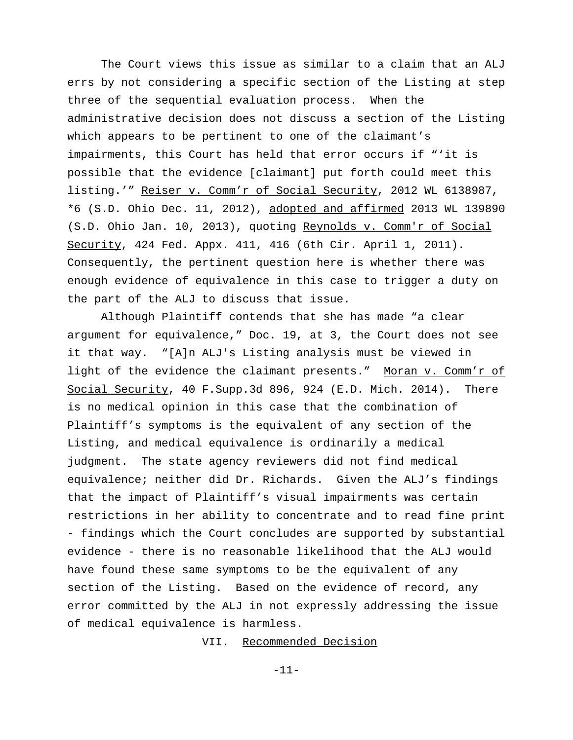The Court views this issue as similar to a claim that an ALJ errs by not considering a specific section of the Listing at step three of the sequential evaluation process. When the administrative decision does not discuss a section of the Listing which appears to be pertinent to one of the claimant's impairments, this Court has held that error occurs if "'it is possible that the evidence [claimant] put forth could meet this listing.'" Reiser v. Comm'r of Social Security, 2012 WL 6138987, \*6 (S.D. Ohio Dec. 11, 2012), adopted and affirmed 2013 WL 139890 (S.D. Ohio Jan. 10, 2013), quoting Reynolds v. Comm'r of Social Security, 424 Fed. Appx. 411, 416 (6th Cir. April 1, 2011). Consequently, the pertinent question here is whether there was enough evidence of equivalence in this case to trigger a duty on the part of the ALJ to discuss that issue.

Although Plaintiff contends that she has made "a clear argument for equivalence," Doc. 19, at 3, the Court does not see it that way. "[A]n ALJ's Listing analysis must be viewed in light of the evidence the claimant presents." Moran v. Comm'r of Social Security, 40 F.Supp.3d 896, 924 (E.D. Mich. 2014). There is no medical opinion in this case that the combination of Plaintiff's symptoms is the equivalent of any section of the Listing, and medical equivalence is ordinarily a medical judgment. The state agency reviewers did not find medical equivalence; neither did Dr. Richards. Given the ALJ's findings that the impact of Plaintiff's visual impairments was certain restrictions in her ability to concentrate and to read fine print - findings which the Court concludes are supported by substantial evidence - there is no reasonable likelihood that the ALJ would have found these same symptoms to be the equivalent of any section of the Listing. Based on the evidence of record, any error committed by the ALJ in not expressly addressing the issue of medical equivalence is harmless.

VII. Recommended Decision

-11-